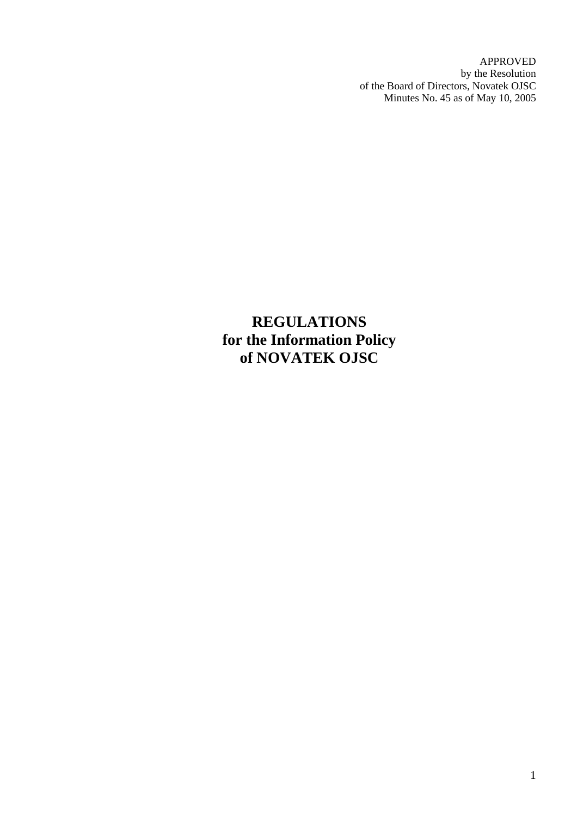APPROVED by the Resolution of the Board of Directors, Novatek OJSC Minutes No. 45 as of May 10, 2005

**REGULATIONS for the Information Policy of NOVATEK OJSC**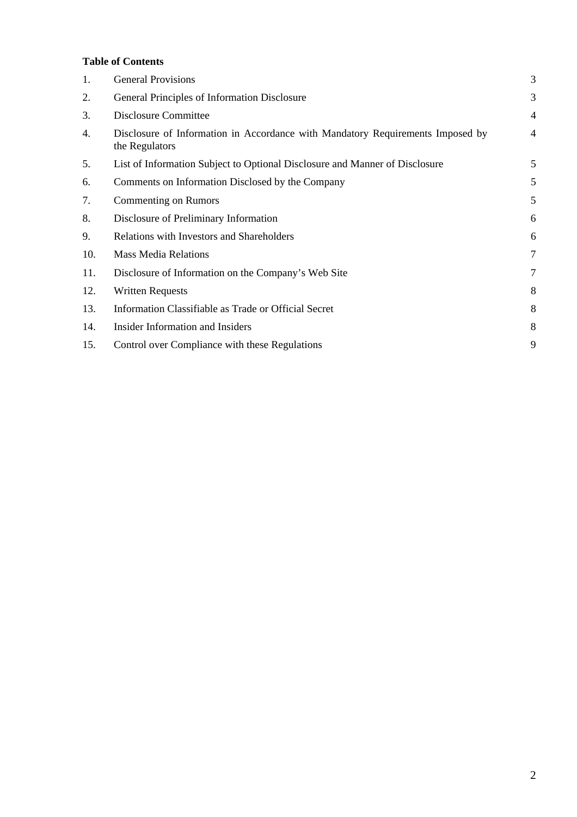# **Table of Contents**

| 1.  | <b>General Provisions</b>                                                                        | 3              |
|-----|--------------------------------------------------------------------------------------------------|----------------|
| 2.  | General Principles of Information Disclosure                                                     | 3              |
| 3.  | Disclosure Committee                                                                             | $\overline{4}$ |
| 4.  | Disclosure of Information in Accordance with Mandatory Requirements Imposed by<br>the Regulators | $\overline{4}$ |
| 5.  | List of Information Subject to Optional Disclosure and Manner of Disclosure                      | 5              |
| 6.  | Comments on Information Disclosed by the Company                                                 | 5              |
| 7.  | Commenting on Rumors                                                                             | 5              |
| 8.  | Disclosure of Preliminary Information                                                            | 6              |
| 9.  | Relations with Investors and Shareholders                                                        | 6              |
| 10. | <b>Mass Media Relations</b>                                                                      | 7              |
| 11. | Disclosure of Information on the Company's Web Site                                              | 7              |
| 12. | <b>Written Requests</b>                                                                          | 8              |
| 13. | Information Classifiable as Trade or Official Secret                                             | 8              |
| 14. | Insider Information and Insiders                                                                 | 8              |
| 15. | Control over Compliance with these Regulations                                                   | 9              |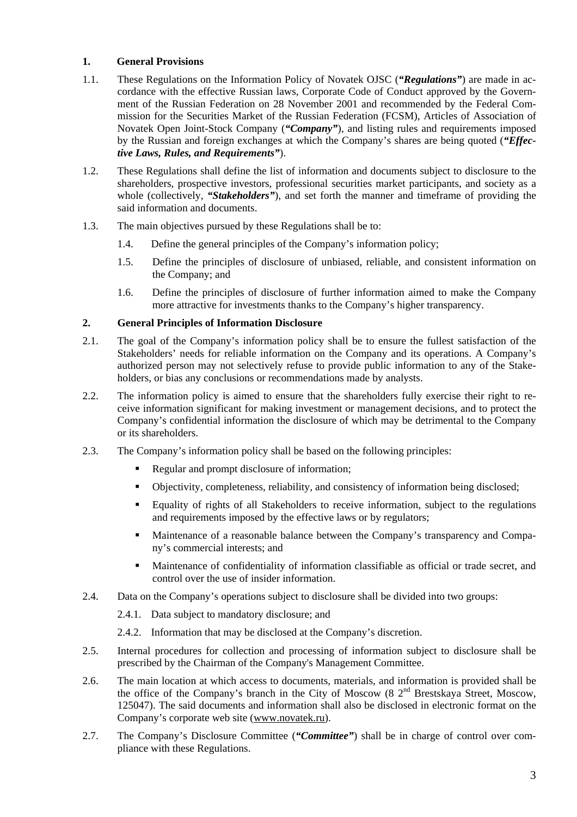# **1. General Provisions**

- 1.1. These Regulations on the Information Policy of Novatek OJSC (*"Regulations"*) are made in accordance with the effective Russian laws, Corporate Code of Conduct approved by the Government of the Russian Federation on 28 November 2001 and recommended by the Federal Commission for the Securities Market of the Russian Federation (FCSM), Articles of Association of Novatek Open Joint-Stock Company (*"Company"*), and listing rules and requirements imposed by the Russian and foreign exchanges at which the Company's shares are being quoted (*"Effective Laws, Rules, and Requirements"*).
- 1.2. These Regulations shall define the list of information and documents subject to disclosure to the shareholders, prospective investors, professional securities market participants, and society as a whole (collectively, *"Stakeholders"*), and set forth the manner and timeframe of providing the said information and documents.
- 1.3. The main objectives pursued by these Regulations shall be to:
	- 1.4. Define the general principles of the Company's information policy;
	- 1.5. Define the principles of disclosure of unbiased, reliable, and consistent information on the Company; and
	- 1.6. Define the principles of disclosure of further information aimed to make the Company more attractive for investments thanks to the Company's higher transparency.

## **2. General Principles of Information Disclosure**

- 2.1. The goal of the Company's information policy shall be to ensure the fullest satisfaction of the Stakeholders' needs for reliable information on the Company and its operations. A Company's authorized person may not selectively refuse to provide public information to any of the Stakeholders, or bias any conclusions or recommendations made by analysts.
- 2.2. The information policy is aimed to ensure that the shareholders fully exercise their right to receive information significant for making investment or management decisions, and to protect the Company's confidential information the disclosure of which may be detrimental to the Company or its shareholders.
- 2.3. The Company's information policy shall be based on the following principles:
	- Regular and prompt disclosure of information;
	- Objectivity, completeness, reliability, and consistency of information being disclosed;
	- Equality of rights of all Stakeholders to receive information, subject to the regulations and requirements imposed by the effective laws or by regulators;
	- Maintenance of a reasonable balance between the Company's transparency and Company's commercial interests; and
	- Maintenance of confidentiality of information classifiable as official or trade secret, and control over the use of insider information.
- 2.4. Data on the Company's operations subject to disclosure shall be divided into two groups:
	- 2.4.1. Data subject to mandatory disclosure; and
	- 2.4.2. Information that may be disclosed at the Company's discretion.
- 2.5. Internal procedures for collection and processing of information subject to disclosure shall be prescribed by the Chairman of the Company's Management Committee.
- 2.6. The main location at which access to documents, materials, and information is provided shall be the office of the Company's branch in the City of Moscow (8  $2<sup>nd</sup>$  Brestskaya Street, Moscow, 125047). The said documents and information shall also be disclosed in electronic format on the Company's corporate web site (www.novatek.ru).
- 2.7. The Company's Disclosure Committee (*"Committee"*) shall be in charge of control over compliance with these Regulations.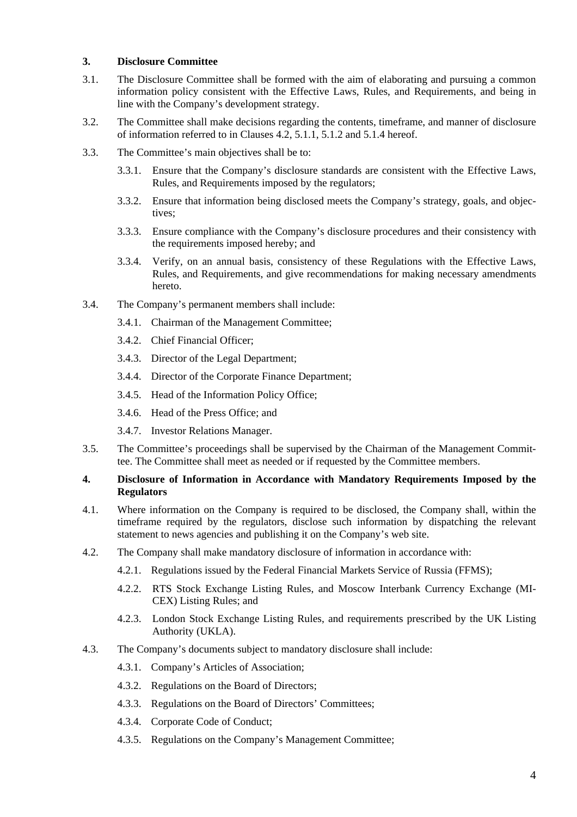### **3. Disclosure Committee**

- 3.1. The Disclosure Committee shall be formed with the aim of elaborating and pursuing a common information policy consistent with the Effective Laws, Rules, and Requirements, and being in line with the Company's development strategy.
- 3.2. The Committee shall make decisions regarding the contents, timeframe, and manner of disclosure of information referred to in Clauses 4.2, 5.1.1, 5.1.2 and 5.1.4 hereof.
- 3.3. The Committee's main objectives shall be to:
	- 3.3.1. Ensure that the Company's disclosure standards are consistent with the Effective Laws, Rules, and Requirements imposed by the regulators;
	- 3.3.2. Ensure that information being disclosed meets the Company's strategy, goals, and objectives;
	- 3.3.3. Ensure compliance with the Company's disclosure procedures and their consistency with the requirements imposed hereby; and
	- 3.3.4. Verify, on an annual basis, consistency of these Regulations with the Effective Laws, Rules, and Requirements, and give recommendations for making necessary amendments hereto.
- 3.4. The Company's permanent members shall include:
	- 3.4.1. Chairman of the Management Committee;
	- 3.4.2. Chief Financial Officer;
	- 3.4.3. Director of the Legal Department;
	- 3.4.4. Director of the Corporate Finance Department;
	- 3.4.5. Head of the Information Policy Office;
	- 3.4.6. Head of the Press Office; and
	- 3.4.7. Investor Relations Manager.
- 3.5. The Committee's proceedings shall be supervised by the Chairman of the Management Committee. The Committee shall meet as needed or if requested by the Committee members.

#### **4. Disclosure of Information in Accordance with Mandatory Requirements Imposed by the Regulators**

- 4.1. Where information on the Company is required to be disclosed, the Company shall, within the timeframe required by the regulators, disclose such information by dispatching the relevant statement to news agencies and publishing it on the Company's web site.
- 4.2. The Company shall make mandatory disclosure of information in accordance with:
	- 4.2.1. Regulations issued by the Federal Financial Markets Service of Russia (FFMS);
	- 4.2.2. RTS Stock Exchange Listing Rules, and Moscow Interbank Currency Exchange (MI-CEX) Listing Rules; and
	- 4.2.3. London Stock Exchange Listing Rules, and requirements prescribed by the UK Listing Authority (UKLA).
- 4.3. The Company's documents subject to mandatory disclosure shall include:
	- 4.3.1. Company's Articles of Association;
	- 4.3.2. Regulations on the Board of Directors;
	- 4.3.3. Regulations on the Board of Directors' Committees;
	- 4.3.4. Corporate Code of Conduct;
	- 4.3.5. Regulations on the Company's Management Committee;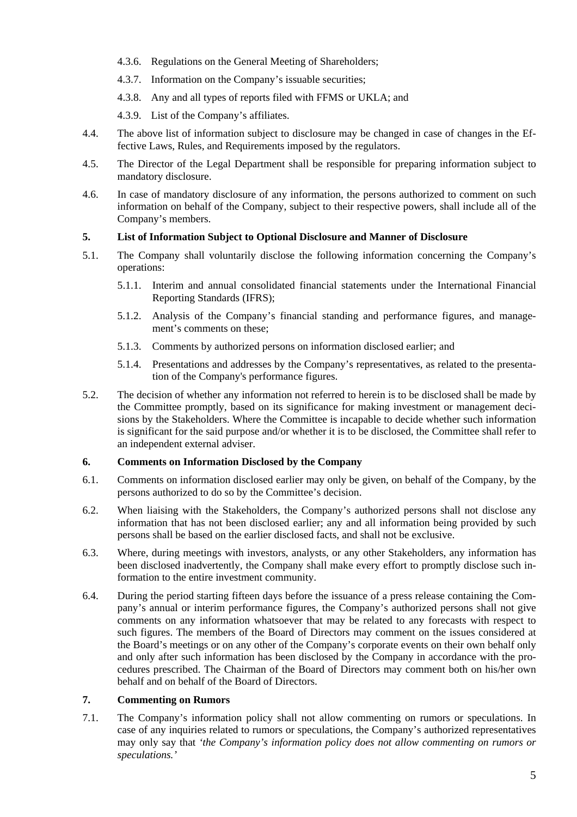- 4.3.6. Regulations on the General Meeting of Shareholders;
- 4.3.7. Information on the Company's issuable securities;
- 4.3.8. Any and all types of reports filed with FFMS or UKLA; and
- 4.3.9. List of the Company's affiliates.
- 4.4. The above list of information subject to disclosure may be changed in case of changes in the Effective Laws, Rules, and Requirements imposed by the regulators.
- 4.5. The Director of the Legal Department shall be responsible for preparing information subject to mandatory disclosure.
- 4.6. In case of mandatory disclosure of any information, the persons authorized to comment on such information on behalf of the Company, subject to their respective powers, shall include all of the Company's members.

#### **5. List of Information Subject to Optional Disclosure and Manner of Disclosure**

- 5.1. The Company shall voluntarily disclose the following information concerning the Company's operations:
	- 5.1.1. Interim and annual consolidated financial statements under the International Financial Reporting Standards (IFRS);
	- 5.1.2. Analysis of the Company's financial standing and performance figures, and management's comments on these;
	- 5.1.3. Comments by authorized persons on information disclosed earlier; and
	- 5.1.4. Presentations and addresses by the Company's representatives, as related to the presentation of the Company's performance figures.
- 5.2. The decision of whether any information not referred to herein is to be disclosed shall be made by the Committee promptly, based on its significance for making investment or management decisions by the Stakeholders. Where the Committee is incapable to decide whether such information is significant for the said purpose and/or whether it is to be disclosed, the Committee shall refer to an independent external adviser.

#### **6. Comments on Information Disclosed by the Company**

- 6.1. Comments on information disclosed earlier may only be given, on behalf of the Company, by the persons authorized to do so by the Committee's decision.
- 6.2. When liaising with the Stakeholders, the Company's authorized persons shall not disclose any information that has not been disclosed earlier; any and all information being provided by such persons shall be based on the earlier disclosed facts, and shall not be exclusive.
- 6.3. Where, during meetings with investors, analysts, or any other Stakeholders, any information has been disclosed inadvertently, the Company shall make every effort to promptly disclose such information to the entire investment community.
- 6.4. During the period starting fifteen days before the issuance of a press release containing the Company's annual or interim performance figures, the Company's authorized persons shall not give comments on any information whatsoever that may be related to any forecasts with respect to such figures. The members of the Board of Directors may comment on the issues considered at the Board's meetings or on any other of the Company's corporate events on their own behalf only and only after such information has been disclosed by the Company in accordance with the procedures prescribed. The Chairman of the Board of Directors may comment both on his/her own behalf and on behalf of the Board of Directors.

## **7. Commenting on Rumors**

7.1. The Company's information policy shall not allow commenting on rumors or speculations. In case of any inquiries related to rumors or speculations, the Company's authorized representatives may only say that *'the Company's information policy does not allow commenting on rumors or speculations.'*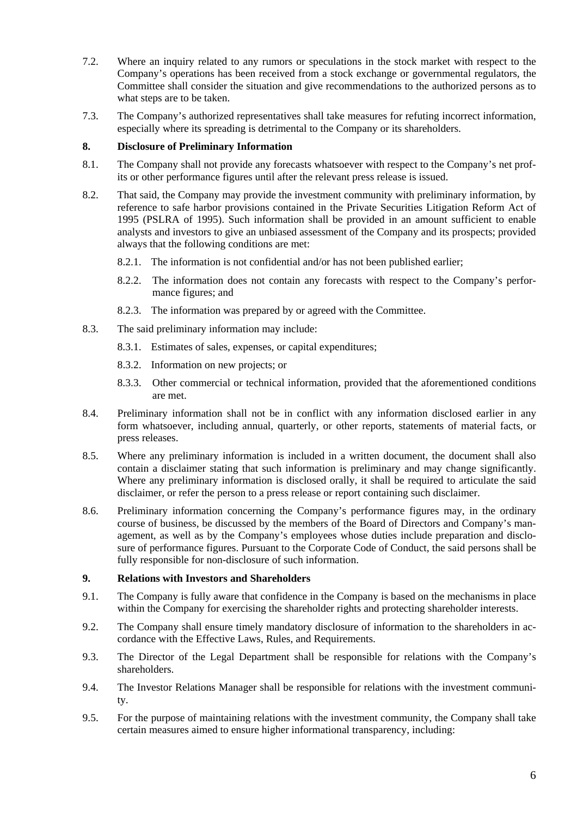- 7.2. Where an inquiry related to any rumors or speculations in the stock market with respect to the Company's operations has been received from a stock exchange or governmental regulators, the Committee shall consider the situation and give recommendations to the authorized persons as to what steps are to be taken.
- 7.3. The Company's authorized representatives shall take measures for refuting incorrect information, especially where its spreading is detrimental to the Company or its shareholders.

## **8. Disclosure of Preliminary Information**

- 8.1. The Company shall not provide any forecasts whatsoever with respect to the Company's net profits or other performance figures until after the relevant press release is issued.
- 8.2. That said, the Company may provide the investment community with preliminary information, by reference to safe harbor provisions contained in the Private Securities Litigation Reform Act of 1995 (PSLRA of 1995). Such information shall be provided in an amount sufficient to enable analysts and investors to give an unbiased assessment of the Company and its prospects; provided always that the following conditions are met:
	- 8.2.1. The information is not confidential and/or has not been published earlier;
	- 8.2.2. The information does not contain any forecasts with respect to the Company's performance figures; and
	- 8.2.3. The information was prepared by or agreed with the Committee.
- 8.3. The said preliminary information may include:
	- 8.3.1. Estimates of sales, expenses, or capital expenditures;
	- 8.3.2. Information on new projects; or
	- 8.3.3. Other commercial or technical information, provided that the aforementioned conditions are met.
- 8.4. Preliminary information shall not be in conflict with any information disclosed earlier in any form whatsoever, including annual, quarterly, or other reports, statements of material facts, or press releases.
- 8.5. Where any preliminary information is included in a written document, the document shall also contain a disclaimer stating that such information is preliminary and may change significantly. Where any preliminary information is disclosed orally, it shall be required to articulate the said disclaimer, or refer the person to a press release or report containing such disclaimer.
- 8.6. Preliminary information concerning the Company's performance figures may, in the ordinary course of business, be discussed by the members of the Board of Directors and Company's management, as well as by the Company's employees whose duties include preparation and disclosure of performance figures. Pursuant to the Corporate Code of Conduct, the said persons shall be fully responsible for non-disclosure of such information.

#### **9. Relations with Investors and Shareholders**

- 9.1. The Company is fully aware that confidence in the Company is based on the mechanisms in place within the Company for exercising the shareholder rights and protecting shareholder interests.
- 9.2. The Company shall ensure timely mandatory disclosure of information to the shareholders in accordance with the Effective Laws, Rules, and Requirements.
- 9.3. The Director of the Legal Department shall be responsible for relations with the Company's shareholders.
- 9.4. The Investor Relations Manager shall be responsible for relations with the investment community.
- 9.5. For the purpose of maintaining relations with the investment community, the Company shall take certain measures aimed to ensure higher informational transparency, including: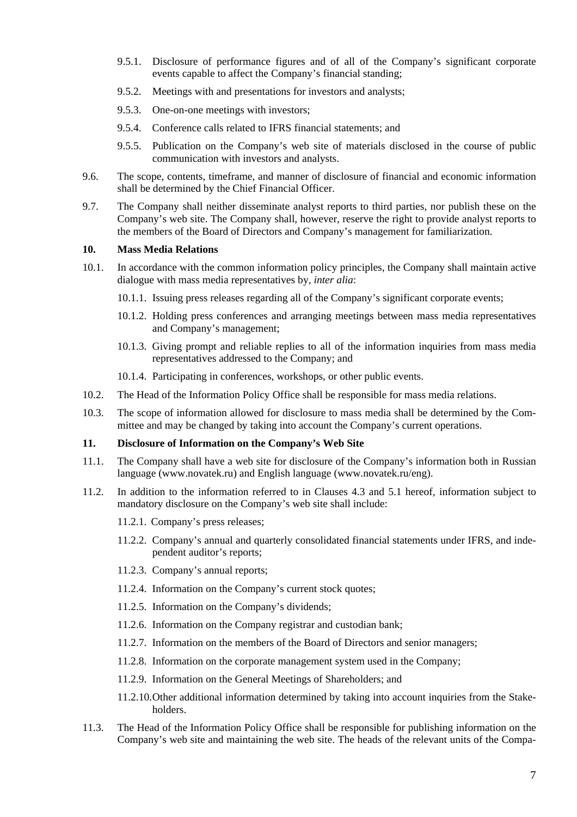- 9.5.1. Disclosure of performance figures and of all of the Company's significant corporate events capable to affect the Company's financial standing;
- 9.5.2. Meetings with and presentations for investors and analysts;
- 9.5.3. One-on-one meetings with investors;
- 9.5.4. Conference calls related to IFRS financial statements; and
- 9.5.5. Publication on the Company's web site of materials disclosed in the course of public communication with investors and analysts.
- 9.6. The scope, contents, timeframe, and manner of disclosure of financial and economic information shall be determined by the Chief Financial Officer.
- 9.7. The Company shall neither disseminate analyst reports to third parties, nor publish these on the Company's web site. The Company shall, however, reserve the right to provide analyst reports to the members of the Board of Directors and Company's management for familiarization.

## **10. Mass Media Relations**

- 10.1. In accordance with the common information policy principles, the Company shall maintain active dialogue with mass media representatives by, *inter alia*:
	- 10.1.1. Issuing press releases regarding all of the Company's significant corporate events;
	- 10.1.2. Holding press conferences and arranging meetings between mass media representatives and Company's management;
	- 10.1.3. Giving prompt and reliable replies to all of the information inquiries from mass media representatives addressed to the Company; and
	- 10.1.4. Participating in conferences, workshops, or other public events.
- 10.2. The Head of the Information Policy Office shall be responsible for mass media relations.
- 10.3. The scope of information allowed for disclosure to mass media shall be determined by the Committee and may be changed by taking into account the Company's current operations.

## **11. Disclosure of Information on the Company's Web Site**

- 11.1. The Company shall have a web site for disclosure of the Company's information both in Russian language (www.novatek.ru) and English language (www.novatek.ru/eng).
- 11.2. In addition to the information referred to in Clauses 4.3 and 5.1 hereof, information subject to mandatory disclosure on the Company's web site shall include:
	- 11.2.1. Company's press releases;
	- 11.2.2. Company's annual and quarterly consolidated financial statements under IFRS, and independent auditor's reports;
	- 11.2.3. Company's annual reports;
	- 11.2.4. Information on the Company's current stock quotes;
	- 11.2.5. Information on the Company's dividends;
	- 11.2.6. Information on the Company registrar and custodian bank;
	- 11.2.7. Information on the members of the Board of Directors and senior managers;
	- 11.2.8. Information on the corporate management system used in the Company;
	- 11.2.9. Information on the General Meetings of Shareholders; and
	- 11.2.10. Other additional information determined by taking into account inquiries from the Stakeholders.
- 11.3. The Head of the Information Policy Office shall be responsible for publishing information on the Company's web site and maintaining the web site. The heads of the relevant units of the Compa-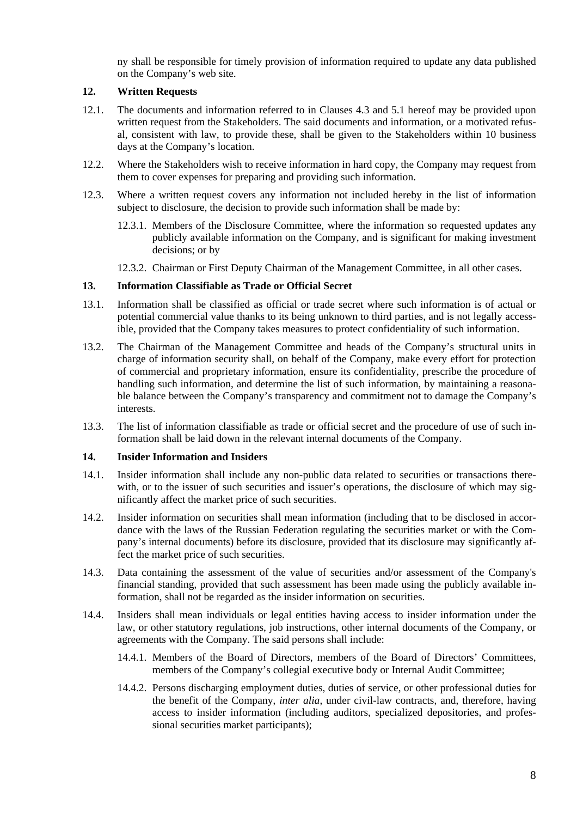ny shall be responsible for timely provision of information required to update any data published on the Company's web site.

# **12. Written Requests**

- 12.1. The documents and information referred to in Clauses 4.3 and 5.1 hereof may be provided upon written request from the Stakeholders. The said documents and information, or a motivated refusal, consistent with law, to provide these, shall be given to the Stakeholders within 10 business days at the Company's location.
- 12.2. Where the Stakeholders wish to receive information in hard copy, the Company may request from them to cover expenses for preparing and providing such information.
- 12.3. Where a written request covers any information not included hereby in the list of information subject to disclosure, the decision to provide such information shall be made by:
	- 12.3.1. Members of the Disclosure Committee, where the information so requested updates any publicly available information on the Company, and is significant for making investment decisions; or by
	- 12.3.2. Chairman or First Deputy Chairman of the Management Committee, in all other cases.

#### **13. Information Classifiable as Trade or Official Secret**

- 13.1. Information shall be classified as official or trade secret where such information is of actual or potential commercial value thanks to its being unknown to third parties, and is not legally accessible, provided that the Company takes measures to protect confidentiality of such information.
- 13.2. The Chairman of the Management Committee and heads of the Company's structural units in charge of information security shall, on behalf of the Company, make every effort for protection of commercial and proprietary information, ensure its confidentiality, prescribe the procedure of handling such information, and determine the list of such information, by maintaining a reasonable balance between the Company's transparency and commitment not to damage the Company's interests.
- 13.3. The list of information classifiable as trade or official secret and the procedure of use of such information shall be laid down in the relevant internal documents of the Company.

#### **14. Insider Information and Insiders**

- 14.1. Insider information shall include any non-public data related to securities or transactions therewith, or to the issuer of such securities and issuer's operations, the disclosure of which may significantly affect the market price of such securities.
- 14.2. Insider information on securities shall mean information (including that to be disclosed in accordance with the laws of the Russian Federation regulating the securities market or with the Company's internal documents) before its disclosure, provided that its disclosure may significantly affect the market price of such securities.
- 14.3. Data containing the assessment of the value of securities and/or assessment of the Company's financial standing, provided that such assessment has been made using the publicly available information, shall not be regarded as the insider information on securities.
- 14.4. Insiders shall mean individuals or legal entities having access to insider information under the law, or other statutory regulations, job instructions, other internal documents of the Company, or agreements with the Company. The said persons shall include:
	- 14.4.1. Members of the Board of Directors, members of the Board of Directors' Committees, members of the Company's collegial executive body or Internal Audit Committee;
	- 14.4.2. Persons discharging employment duties, duties of service, or other professional duties for the benefit of the Company, *inter alia*, under civil-law contracts, and, therefore, having access to insider information (including auditors, specialized depositories, and professional securities market participants);